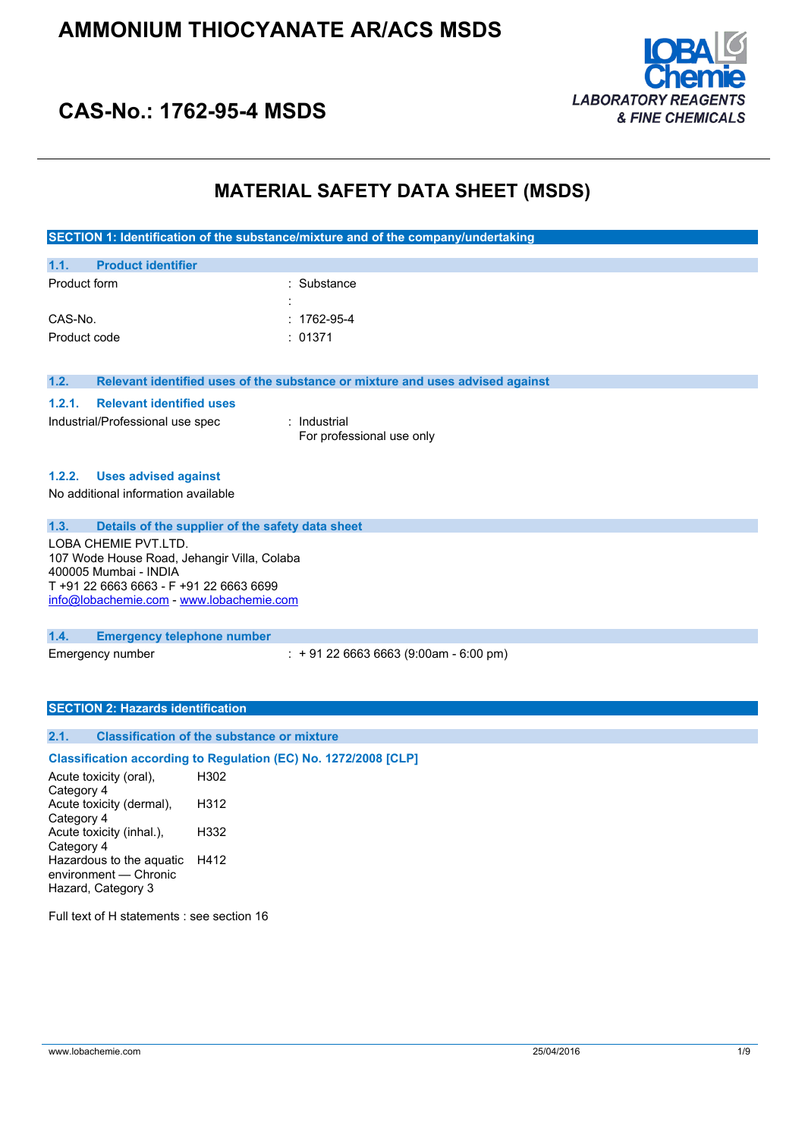

## **CAS-No.: 1762-95-4 MSDS**

## **MATERIAL SAFETY DATA SHEET (MSDS)**

**SECTION 1: Identification of the substance/mixture and of the company/undertaking**

| 1.1.         | <b>Product identifier</b> |                   |
|--------------|---------------------------|-------------------|
| Product form |                           | : Substance       |
|              |                           |                   |
| CAS-No.      |                           | $: 1762 - 95 - 4$ |
| Product code |                           | : 01371           |

**1.2. Relevant identified uses of the substance or mixture and uses advised against**

#### **1.2.1. Relevant identified uses**

Industrial/Professional use spec : Industrial

For professional use only

#### **1.2.2. Uses advised against**

No additional information available

#### **1.3. Details of the supplier of the safety data sheet**

LOBA CHEMIE PVT.LTD. 107 Wode House Road, Jehangir Villa, Colaba 400005 Mumbai - INDIA T +91 22 6663 6663 - F +91 22 6663 6699 [info@lobachemie.com](mailto:info@lobachemie.com) - <www.lobachemie.com>

#### **1.4. Emergency telephone number**

Emergency number : + 91 22 6663 6663 (9:00am - 6:00 pm)

#### **SECTION 2: Hazards identification**

#### **2.1. Classification of the substance or mixture**

#### **Classification according to Regulation (EC) No. 1272/2008 [CLP]**

Acute toxicity (oral), Category 4 H302 Acute toxicity (dermal), Category 4 H312 Acute toxicity (inhal.), Category 4 H332 Hazardous to the aquatic H412 environment — Chronic Hazard, Category 3

Full text of H statements : see section 16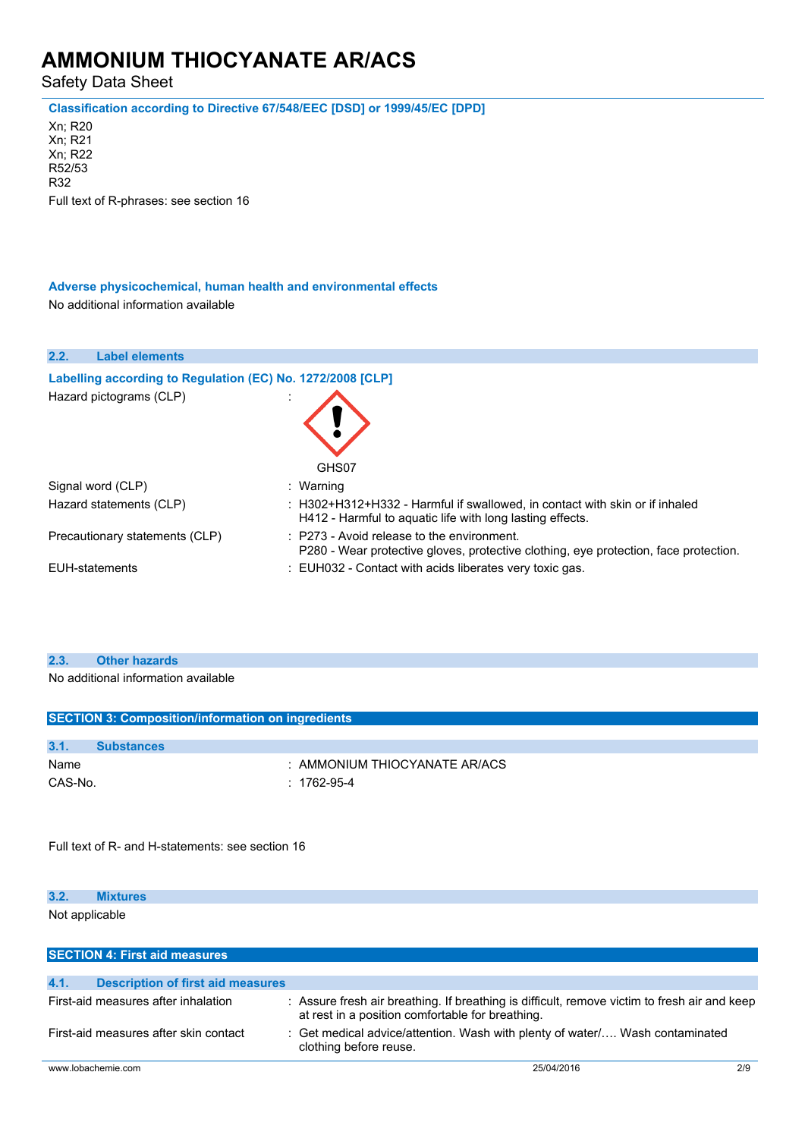Safety Data Sheet

**Classification according to Directive 67/548/EEC [DSD] or 1999/45/EC [DPD]**

Xn; R20 Xn; R21 Xn; R22 R52/53 R32 Full text of R-phrases: see section 16

#### **Adverse physicochemical, human health and environmental effects**

No additional information available

| 2.2.<br><b>Label elements</b>                              |                                                                                                                                               |
|------------------------------------------------------------|-----------------------------------------------------------------------------------------------------------------------------------------------|
| Labelling according to Regulation (EC) No. 1272/2008 [CLP] |                                                                                                                                               |
| Hazard pictograms (CLP)                                    | GHS07                                                                                                                                         |
| Signal word (CLP)                                          | : Warning                                                                                                                                     |
| Hazard statements (CLP)                                    | : H302+H312+H332 - Harmful if swallowed, in contact with skin or if inhaled<br>H412 - Harmful to aguatic life with long lasting effects.      |
| Precautionary statements (CLP)                             | $\therefore$ P273 - Avoid release to the environment.<br>P280 - Wear protective gloves, protective clothing, eye protection, face protection. |
| EUH-statements                                             | : EUH032 - Contact with acids liberates very toxic gas.                                                                                       |

#### **2.3. Other hazards**

No additional information available

|         | <b>SECTION 3: Composition/information on ingredients</b> |                               |  |
|---------|----------------------------------------------------------|-------------------------------|--|
|         |                                                          |                               |  |
| 3.1.    | <b>Substances</b>                                        |                               |  |
| Name    |                                                          | : AMMONIUM THIOCYANATE AR/ACS |  |
| CAS-No. |                                                          | : 1762-95-4                   |  |
|         |                                                          |                               |  |
|         |                                                          |                               |  |

Full text of R- and H-statements: see section 16

| 3.2.           | <b>Mixtures</b> |  |  |  |
|----------------|-----------------|--|--|--|
| Not applicable |                 |  |  |  |

| <b>SECTION 4: First aid measures</b>             |                                                                                                                                                  |     |
|--------------------------------------------------|--------------------------------------------------------------------------------------------------------------------------------------------------|-----|
| 4.1.<br><b>Description of first aid measures</b> |                                                                                                                                                  |     |
|                                                  |                                                                                                                                                  |     |
| First-aid measures after inhalation              | : Assure fresh air breathing. If breathing is difficult, remove victim to fresh air and keep<br>at rest in a position comfortable for breathing. |     |
| First-aid measures after skin contact            | : Get medical advice/attention. Wash with plenty of water Wash contaminated<br>clothing before reuse.                                            |     |
| www.lobachemie.com                               | 25/04/2016                                                                                                                                       | 2/9 |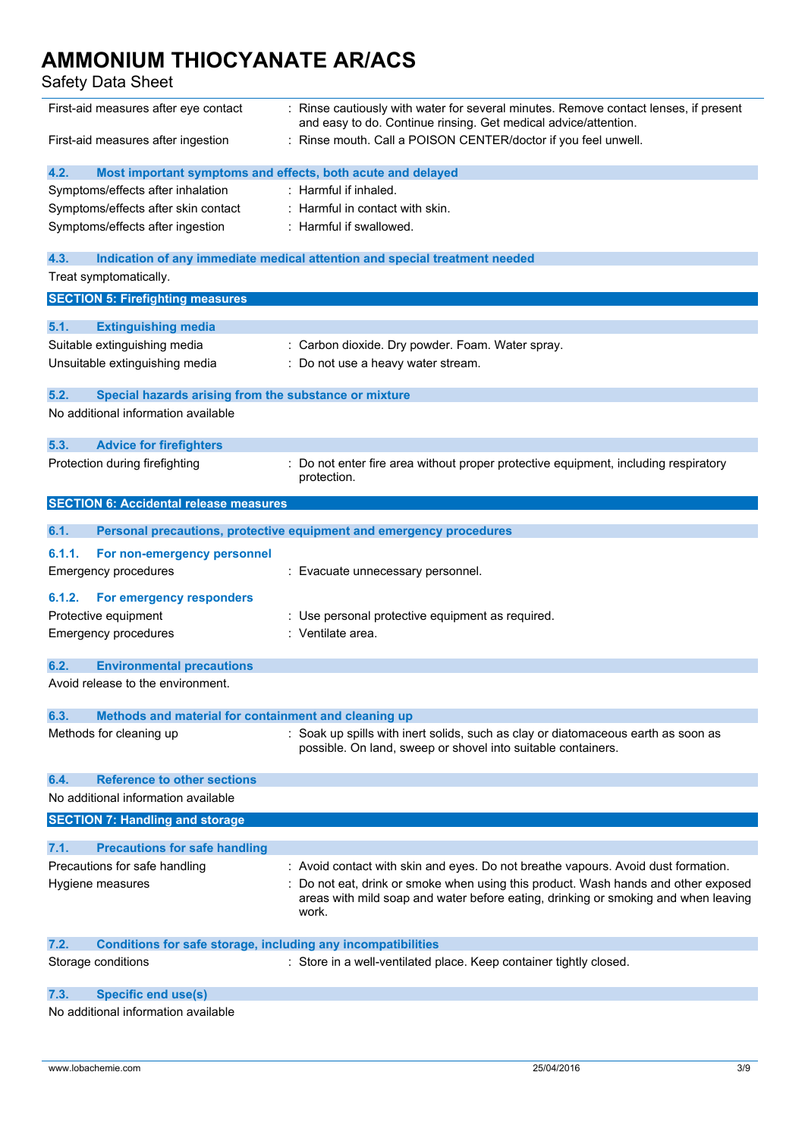## Safety Data Sheet

| First-aid measures after eye contact                                        | Rinse cautiously with water for several minutes. Remove contact lenses, if present<br>and easy to do. Continue rinsing. Get medical advice/attention.                           |
|-----------------------------------------------------------------------------|---------------------------------------------------------------------------------------------------------------------------------------------------------------------------------|
| First-aid measures after ingestion                                          | Rinse mouth. Call a POISON CENTER/doctor if you feel unwell.                                                                                                                    |
| 4.2.<br>Most important symptoms and effects, both acute and delayed         |                                                                                                                                                                                 |
| Symptoms/effects after inhalation                                           | : Harmful if inhaled.                                                                                                                                                           |
| Symptoms/effects after skin contact                                         | : Harmful in contact with skin.                                                                                                                                                 |
| Symptoms/effects after ingestion                                            | : Harmful if swallowed.                                                                                                                                                         |
| 4.3.                                                                        | Indication of any immediate medical attention and special treatment needed                                                                                                      |
| Treat symptomatically.                                                      |                                                                                                                                                                                 |
| <b>SECTION 5: Firefighting measures</b>                                     |                                                                                                                                                                                 |
| 5.1.<br><b>Extinguishing media</b>                                          |                                                                                                                                                                                 |
| Suitable extinguishing media                                                | : Carbon dioxide. Dry powder. Foam. Water spray.                                                                                                                                |
| Unsuitable extinguishing media                                              | : Do not use a heavy water stream.                                                                                                                                              |
| 5.2.<br>Special hazards arising from the substance or mixture               |                                                                                                                                                                                 |
| No additional information available                                         |                                                                                                                                                                                 |
| 5.3.<br><b>Advice for firefighters</b>                                      |                                                                                                                                                                                 |
| Protection during firefighting                                              | : Do not enter fire area without proper protective equipment, including respiratory<br>protection.                                                                              |
| <b>SECTION 6: Accidental release measures</b>                               |                                                                                                                                                                                 |
| 6.1.                                                                        | Personal precautions, protective equipment and emergency procedures                                                                                                             |
| 6.1.1.<br>For non-emergency personnel                                       |                                                                                                                                                                                 |
| <b>Emergency procedures</b>                                                 | : Evacuate unnecessary personnel.                                                                                                                                               |
| 6.1.2.<br>For emergency responders                                          |                                                                                                                                                                                 |
| Protective equipment                                                        | Use personal protective equipment as required.                                                                                                                                  |
| Emergency procedures                                                        | : Ventilate area.                                                                                                                                                               |
| 6.2.<br><b>Environmental precautions</b>                                    |                                                                                                                                                                                 |
| Avoid release to the environment.                                           |                                                                                                                                                                                 |
| 6.3.<br>Methods and material for containment and cleaning up                |                                                                                                                                                                                 |
| Methods for cleaning up                                                     | Soak up spills with inert solids, such as clay or diatomaceous earth as soon as<br>possible. On land, sweep or shovel into suitable containers.                                 |
| <b>Reference to other sections</b><br>6.4.                                  |                                                                                                                                                                                 |
| No additional information available                                         |                                                                                                                                                                                 |
| <b>SECTION 7: Handling and storage</b>                                      |                                                                                                                                                                                 |
| 7.1.<br><b>Precautions for safe handling</b>                                |                                                                                                                                                                                 |
| Precautions for safe handling                                               | : Avoid contact with skin and eyes. Do not breathe vapours. Avoid dust formation.                                                                                               |
| Hygiene measures                                                            | Do not eat, drink or smoke when using this product. Wash hands and other exposed<br>areas with mild soap and water before eating, drinking or smoking and when leaving<br>work. |
| 7.2.<br><b>Conditions for safe storage, including any incompatibilities</b> |                                                                                                                                                                                 |
| Storage conditions                                                          | : Store in a well-ventilated place. Keep container tightly closed.                                                                                                              |
| <b>Specific end use(s)</b><br>7.3.                                          |                                                                                                                                                                                 |
| No additional information available                                         |                                                                                                                                                                                 |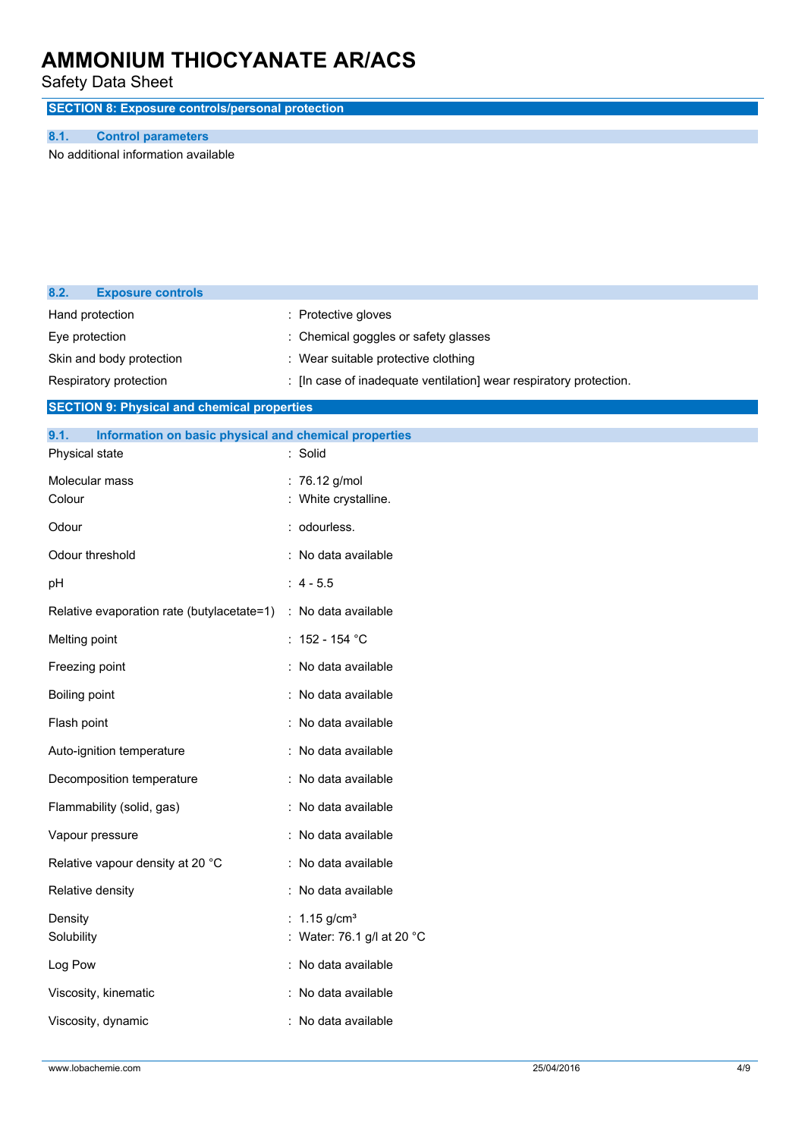Safety Data Sheet

**SECTION 8: Exposure controls/personal protection**

#### **8.1. Control parameters**

**8.2. Exposure controls**

No additional information available

| Hand protection                                               | : Protective gloves                                                |
|---------------------------------------------------------------|--------------------------------------------------------------------|
| Eye protection                                                | : Chemical goggles or safety glasses                               |
| Skin and body protection                                      | : Wear suitable protective clothing                                |
| Respiratory protection                                        | : [In case of inadequate ventilation] wear respiratory protection. |
| <b>SECTION 9: Physical and chemical properties</b>            |                                                                    |
| 9.1.<br>Information on basic physical and chemical properties |                                                                    |
| Physical state                                                | : Solid                                                            |
| Molecular mass                                                | : 76.12 g/mol                                                      |
| Colour                                                        | : White crystalline.                                               |
| Odour                                                         | : odourless.                                                       |
| Odour threshold                                               | : No data available                                                |
| pH                                                            | $: 4 - 5.5$                                                        |
| Relative evaporation rate (butylacetate=1)                    | : No data available                                                |
| Melting point                                                 | : $152 - 154$ °C                                                   |
| Freezing point                                                | : No data available                                                |
| Boiling point                                                 | : No data available                                                |
| Flash point                                                   | : No data available                                                |
| Auto-ignition temperature                                     | : No data available                                                |
| Decomposition temperature                                     | : No data available                                                |
| Flammability (solid, gas)                                     | : No data available                                                |
| Vapour pressure                                               | : No data available                                                |
| Relative vapour density at 20 °C                              | : No data available                                                |
| Relative density                                              | : No data available                                                |
| Density                                                       | : $1.15$ g/cm <sup>3</sup>                                         |
| Solubility                                                    | : Water: 76.1 g/l at 20 °C                                         |
| Log Pow                                                       | : No data available                                                |
| Viscosity, kinematic                                          | : No data available                                                |
| Viscosity, dynamic                                            | : No data available                                                |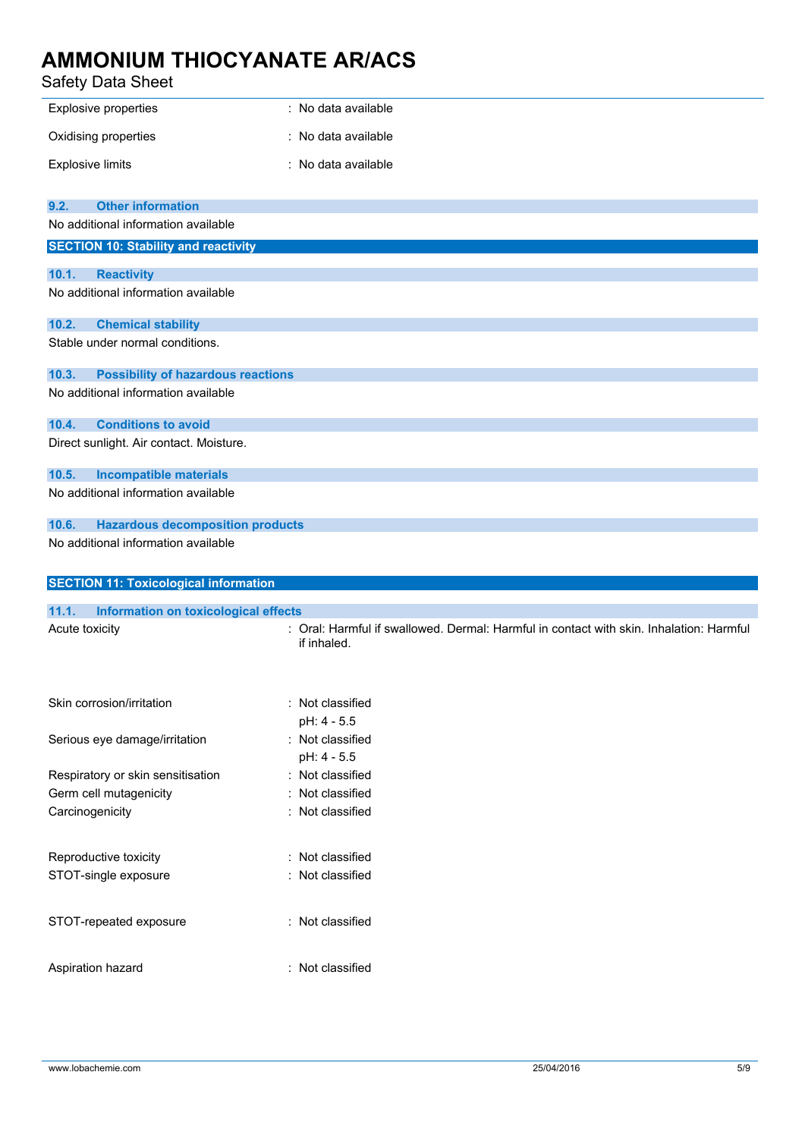#### Safety Data Sheet

| <b>Safety Data Sheet</b>                           |                                                                                                        |
|----------------------------------------------------|--------------------------------------------------------------------------------------------------------|
| <b>Explosive properties</b>                        | : No data available                                                                                    |
| Oxidising properties                               | : No data available                                                                                    |
| <b>Explosive limits</b>                            | : No data available                                                                                    |
| <b>Other information</b><br>9.2.                   |                                                                                                        |
| No additional information available                |                                                                                                        |
| <b>SECTION 10: Stability and reactivity</b>        |                                                                                                        |
| 10.1.<br><b>Reactivity</b>                         |                                                                                                        |
| No additional information available                |                                                                                                        |
| 10.2.<br><b>Chemical stability</b>                 |                                                                                                        |
| Stable under normal conditions.                    |                                                                                                        |
| 10.3.<br><b>Possibility of hazardous reactions</b> |                                                                                                        |
| No additional information available                |                                                                                                        |
| <b>Conditions to avoid</b><br>10.4.                |                                                                                                        |
| Direct sunlight. Air contact. Moisture.            |                                                                                                        |
| <b>Incompatible materials</b><br>10.5.             |                                                                                                        |
| No additional information available                |                                                                                                        |
| <b>Hazardous decomposition products</b><br>10.6.   |                                                                                                        |
| No additional information available                |                                                                                                        |
| <b>SECTION 11: Toxicological information</b>       |                                                                                                        |
|                                                    |                                                                                                        |
| Information on toxicological effects<br>11.1.      |                                                                                                        |
| Acute toxicity                                     | : Oral: Harmful if swallowed. Dermal: Harmful in contact with skin. Inhalation: Harmful<br>if inhaled. |
| Skin corrosion/irritation                          | : Not classified                                                                                       |
|                                                    | pH: 4 - 5.5                                                                                            |
| Serious eye damage/irritation                      | : Not classified                                                                                       |
| Respiratory or skin sensitisation                  | pH: 4 - 5.5<br>: Not classified                                                                        |
| Germ cell mutagenicity                             | : Not classified                                                                                       |
| Carcinogenicity                                    | : Not classified                                                                                       |
| Reproductive toxicity                              | : Not classified                                                                                       |
| STOT-single exposure                               | Not classified                                                                                         |
| STOT-repeated exposure                             | : Not classified                                                                                       |

Aspiration hazard **in the set of the set of the set of the set of the set of the set of the set of the set of the set of the set of the set of the set of the set of the set of the set of the set of the set of the set of th**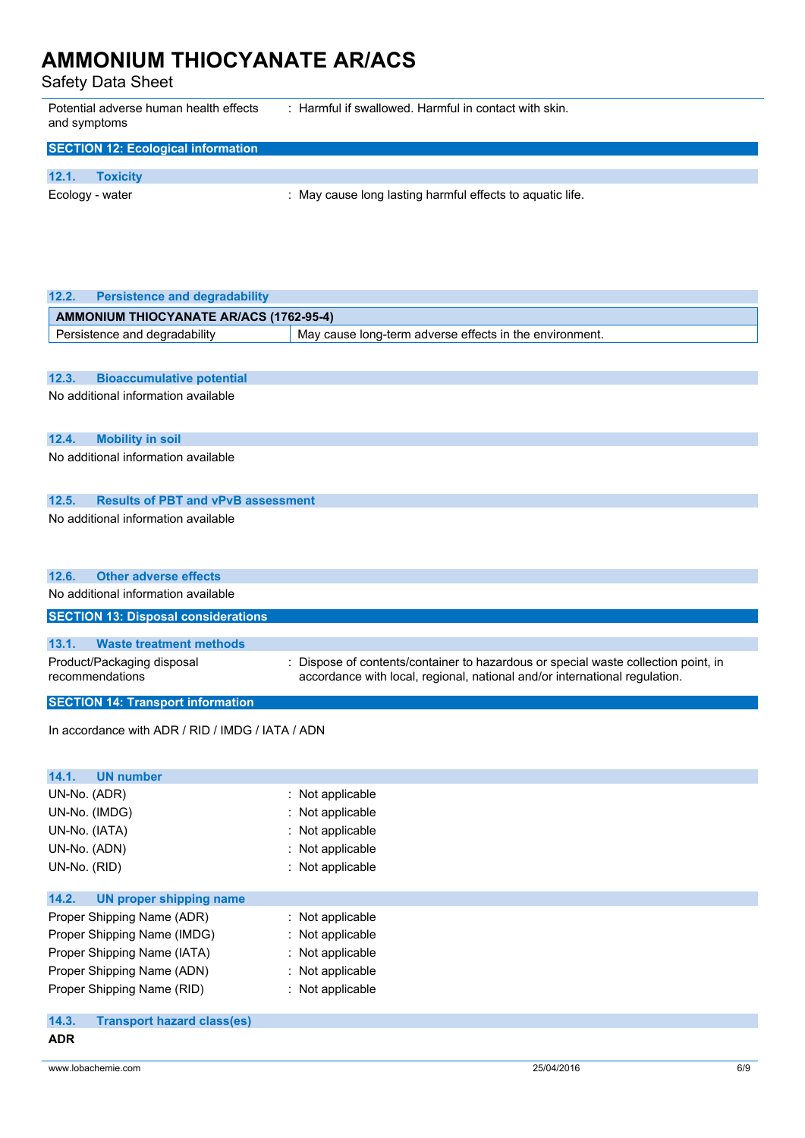Safety Data Sheet

Potential adverse human health effects and symptoms : Harmful if swallowed. Harmful in contact with skin.

| <b>SECTION 12: Ecological information</b> |                 |                                                           |  |
|-------------------------------------------|-----------------|-----------------------------------------------------------|--|
|                                           |                 |                                                           |  |
| 12.1.                                     | <b>Toxicity</b> |                                                           |  |
| Ecology - water                           |                 | : May cause long lasting harmful effects to aquatic life. |  |

| 12.2.<br><b>Persistence and degradability</b>      |                                                                                  |  |  |
|----------------------------------------------------|----------------------------------------------------------------------------------|--|--|
| <b>AMMONIUM THIOCYANATE AR/ACS (1762-95-4)</b>     |                                                                                  |  |  |
| Persistence and degradability                      | May cause long-term adverse effects in the environment.                          |  |  |
|                                                    |                                                                                  |  |  |
| 12.3.<br><b>Bioaccumulative potential</b>          |                                                                                  |  |  |
| No additional information available                |                                                                                  |  |  |
|                                                    |                                                                                  |  |  |
| 12.4.<br><b>Mobility in soil</b>                   |                                                                                  |  |  |
| No additional information available                |                                                                                  |  |  |
| 12.5.<br><b>Results of PBT and vPvB assessment</b> |                                                                                  |  |  |
| No additional information available                |                                                                                  |  |  |
| <b>Other adverse effects</b><br>12.6.              |                                                                                  |  |  |
| No additional information available                |                                                                                  |  |  |
| <b>SECTION 13: Disposal considerations</b>         |                                                                                  |  |  |
| 13.1.<br><b>Waste treatment methods</b>            |                                                                                  |  |  |
| Product/Packaging disposal                         | Dispose of contents/container to hazardous or special waste collection point, in |  |  |
| recommendations                                    | accordance with local, regional, national and/or international regulation.       |  |  |
| <b>SECTION 14: Transport information</b>           |                                                                                  |  |  |
|                                                    |                                                                                  |  |  |
| In accordance with ADR / RID / IMDG / IATA / ADN   |                                                                                  |  |  |
|                                                    |                                                                                  |  |  |
| 14.1.<br><b>UN number</b><br>UN-No. (ADR)          |                                                                                  |  |  |
| UN-No. (IMDG)                                      | : Not applicable<br>Not applicable                                               |  |  |
| UN-No. (IATA)                                      | Not applicable                                                                   |  |  |
| UN-No. (ADN)                                       | Not applicable                                                                   |  |  |
| UN-No. (RID)                                       | Not applicable                                                                   |  |  |
|                                                    |                                                                                  |  |  |
| 14.2.<br><b>UN proper shipping name</b>            |                                                                                  |  |  |
| Proper Shipping Name (ADR)                         | Not applicable                                                                   |  |  |
| Proper Shipping Name (IMDG)                        | Not applicable                                                                   |  |  |
| Proper Shipping Name (IATA)                        | Not applicable                                                                   |  |  |
| Proper Shipping Name (ADN)                         | Not applicable                                                                   |  |  |
| Proper Shipping Name (RID)                         | : Not applicable                                                                 |  |  |

| <b>Transport hazard class(es)</b> |
|-----------------------------------|
|-----------------------------------|

**ADR**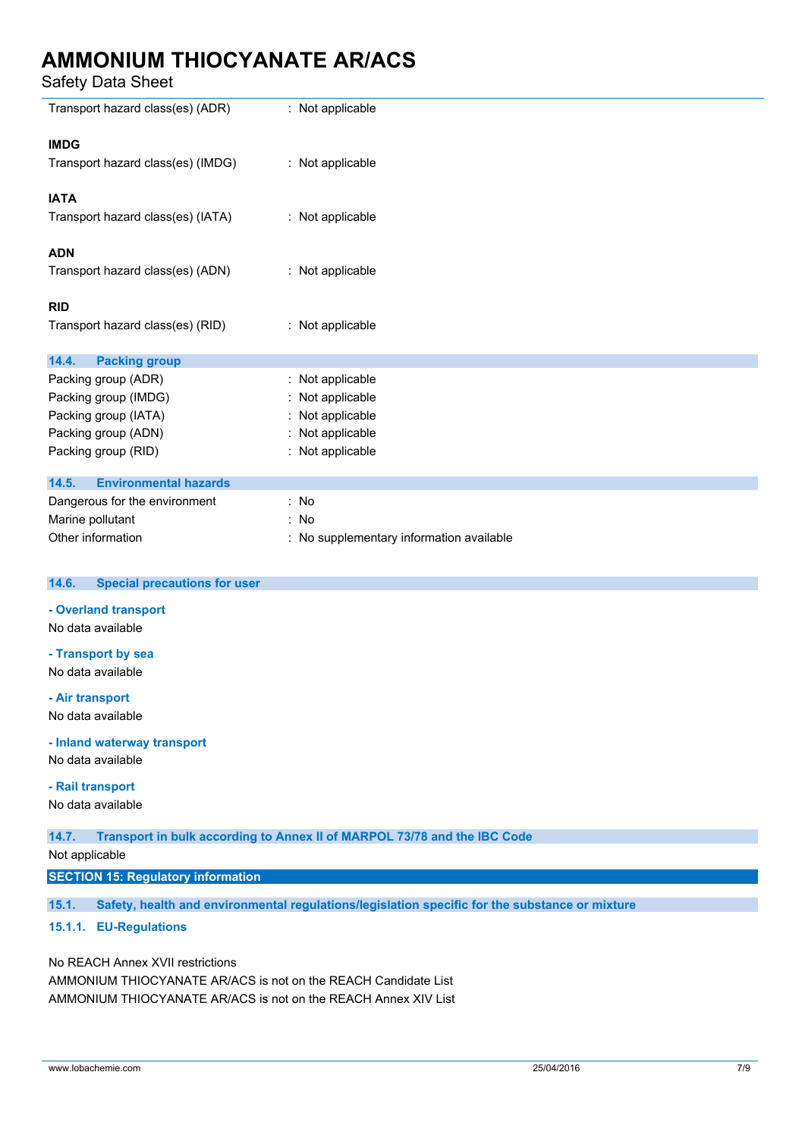Safety Data Sheet

| Salely Dala Sheet                            |                                                                          |
|----------------------------------------------|--------------------------------------------------------------------------|
| Transport hazard class(es) (ADR)             | : Not applicable                                                         |
| <b>IMDG</b>                                  |                                                                          |
| Transport hazard class(es) (IMDG)            | : Not applicable                                                         |
| <b>IATA</b>                                  |                                                                          |
| Transport hazard class(es) (IATA)            | : Not applicable                                                         |
| <b>ADN</b>                                   |                                                                          |
| Transport hazard class(es) (ADN)             | : Not applicable                                                         |
| <b>RID</b>                                   |                                                                          |
| Transport hazard class(es) (RID)             | : Not applicable                                                         |
| 14.4.<br><b>Packing group</b>                |                                                                          |
| Packing group (ADR)                          | : Not applicable                                                         |
| Packing group (IMDG)                         | Not applicable                                                           |
| Packing group (IATA)                         | Not applicable                                                           |
| Packing group (ADN)                          | Not applicable                                                           |
| Packing group (RID)                          | : Not applicable                                                         |
| <b>Environmental hazards</b><br>14.5.        |                                                                          |
| Dangerous for the environment                | : No                                                                     |
| Marine pollutant                             | : No                                                                     |
| Other information                            | : No supplementary information available                                 |
| <b>Special precautions for user</b><br>14.6. |                                                                          |
| - Overland transport                         |                                                                          |
| No data available                            |                                                                          |
| - Transport by sea                           |                                                                          |
| No data available                            |                                                                          |
| - Air transport                              |                                                                          |
| No data available                            |                                                                          |
| - Inland waterway transport                  |                                                                          |
| No data available                            |                                                                          |
| - Rail transport                             |                                                                          |
| No data available                            |                                                                          |
| 14.7.                                        | Transport in bulk according to Annex II of MARPOL 73/78 and the IBC Code |
| Not applicable                               |                                                                          |

#### Not applicable

#### **SECTION 15: Regulatory information**

**15.1. Safety, health and environmental regulations/legislation specific for the substance or mixture**

#### **15.1.1. EU-Regulations**

#### No REACH Annex XVII restrictions

AMMONIUM THIOCYANATE AR/ACS is not on the REACH Candidate List AMMONIUM THIOCYANATE AR/ACS is not on the REACH Annex XIV List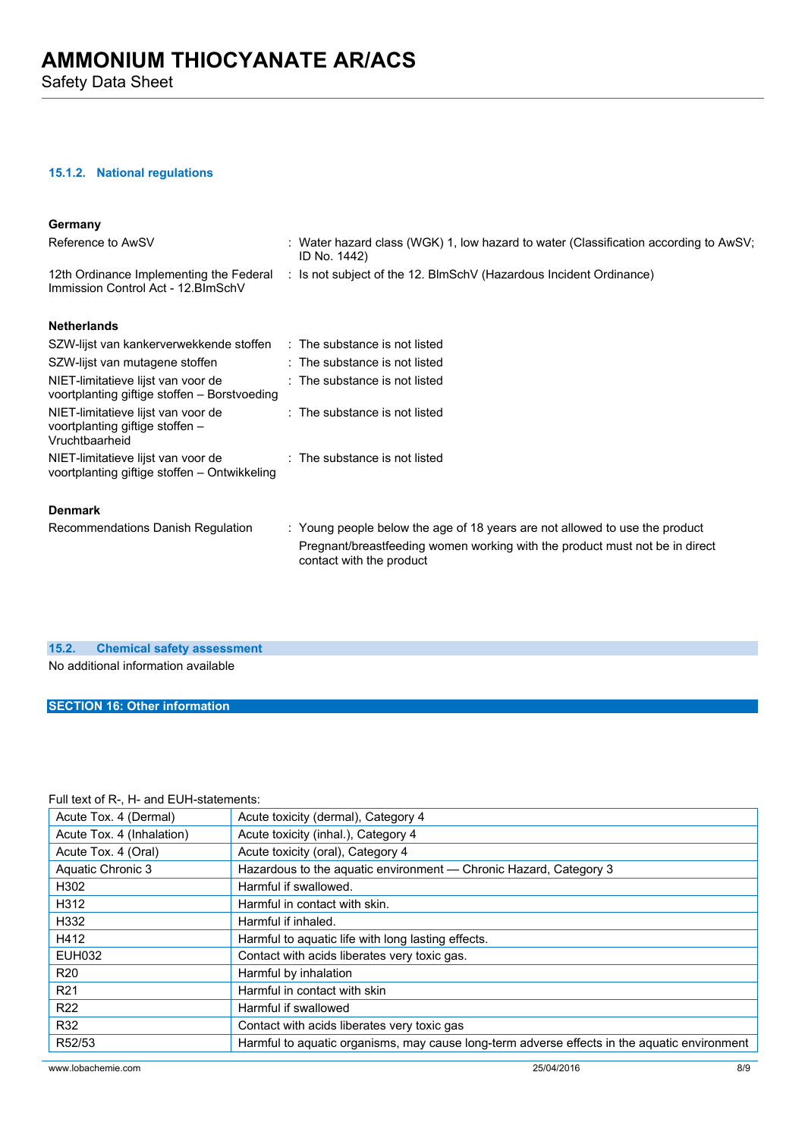#### **15.1.2. National regulations**

| Germany                                                                                 |                                                                                                                                                                                        |
|-----------------------------------------------------------------------------------------|----------------------------------------------------------------------------------------------------------------------------------------------------------------------------------------|
| Reference to AwSV                                                                       | : Water hazard class (WGK) 1, low hazard to water (Classification according to AwSV;<br>ID No. 1442)                                                                                   |
| 12th Ordinance Implementing the Federal<br>Immission Control Act - 12. BlmSchV          | : Is not subject of the 12. BlmSchV (Hazardous Incident Ordinance)                                                                                                                     |
| <b>Netherlands</b>                                                                      |                                                                                                                                                                                        |
| SZW-lijst van kankerverwekkende stoffen : The substance is not listed                   |                                                                                                                                                                                        |
| SZW-lijst van mutagene stoffen                                                          | : The substance is not listed                                                                                                                                                          |
| NIET-limitatieve lijst van voor de<br>voortplanting giftige stoffen – Borstvoeding      | $:$ The substance is not listed                                                                                                                                                        |
| NIET-limitatieve lijst van voor de<br>voortplanting giftige stoffen -<br>Vruchtbaarheid | $\therefore$ The substance is not listed                                                                                                                                               |
| NIET-limitatieve lijst van voor de<br>voortplanting giftige stoffen - Ontwikkeling      | : The substance is not listed                                                                                                                                                          |
| <b>Denmark</b>                                                                          |                                                                                                                                                                                        |
| Recommendations Danish Regulation                                                       | : Young people below the age of 18 years are not allowed to use the product<br>Pregnant/breastfeeding women working with the product must not be in direct<br>contact with the product |

### **15.2. Chemical safety assessment**

No additional information available

**SECTION 16: Other information**

#### Full text of R-, H- and EUH-statements:

| Acute Tox. 4 (Dermal)     | Acute toxicity (dermal), Category 4                                                          |  |  |
|---------------------------|----------------------------------------------------------------------------------------------|--|--|
| Acute Tox. 4 (Inhalation) | Acute toxicity (inhal.), Category 4                                                          |  |  |
| Acute Tox. 4 (Oral)       | Acute toxicity (oral), Category 4                                                            |  |  |
| Aquatic Chronic 3         | Hazardous to the aquatic environment — Chronic Hazard, Category 3                            |  |  |
| H302                      | Harmful if swallowed.                                                                        |  |  |
| H312                      | Harmful in contact with skin.                                                                |  |  |
| H332                      | Harmful if inhaled.                                                                          |  |  |
| H412                      | Harmful to aquatic life with long lasting effects.                                           |  |  |
| <b>EUH032</b>             | Contact with acids liberates very toxic gas.                                                 |  |  |
| <b>R20</b>                | Harmful by inhalation                                                                        |  |  |
| R <sub>21</sub>           | Harmful in contact with skin                                                                 |  |  |
| R <sub>22</sub>           | Harmful if swallowed                                                                         |  |  |
| R32                       | Contact with acids liberates very toxic gas                                                  |  |  |
| R52/53                    | Harmful to aquatic organisms, may cause long-term adverse effects in the aquatic environment |  |  |
|                           |                                                                                              |  |  |